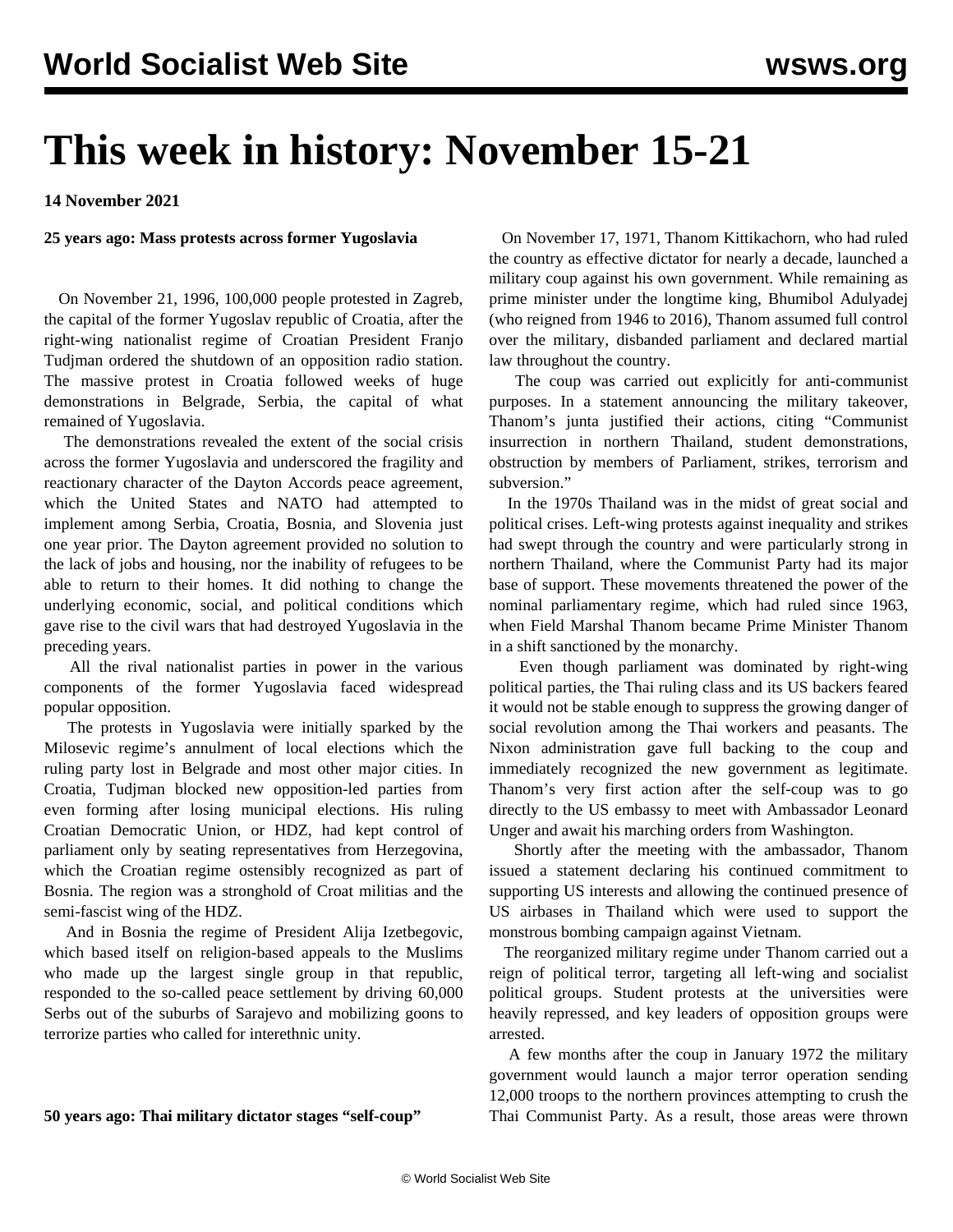# **This week in history: November 15-21**

**14 November 2021**

#### **25 years ago: Mass protests across former Yugoslavia**

 On November 21, 1996, 100,000 people protested in Zagreb, the capital of the former Yugoslav republic of Croatia, after the right-wing nationalist regime of Croatian President Franjo Tudjman ordered the shutdown of an opposition radio station. The massive protest in Croatia followed weeks of huge demonstrations in Belgrade, Serbia, the capital of what remained of Yugoslavia.

 The demonstrations revealed the extent of the social crisis across the former Yugoslavia and underscored the fragility and reactionary character of the Dayton Accords peace agreement, which the United States and NATO had attempted to implement among Serbia, Croatia, Bosnia, and Slovenia just one year prior. The Dayton agreement provided no solution to the lack of jobs and housing, nor the inability of refugees to be able to return to their homes. It did nothing to change the underlying economic, social, and political conditions which gave rise to the civil wars that had destroyed Yugoslavia in the preceding years.

 All the rival nationalist parties in power in the various components of the former Yugoslavia faced widespread popular opposition.

 The protests in Yugoslavia were initially sparked by the Milosevic regime's annulment of local elections which the ruling party lost in Belgrade and most other major cities. In Croatia, Tudjman blocked new opposition-led parties from even forming after losing municipal elections. His ruling Croatian Democratic Union, or HDZ, had kept control of parliament only by seating representatives from Herzegovina, which the Croatian regime ostensibly recognized as part of Bosnia. The region was a stronghold of Croat militias and the semi-fascist wing of the HDZ.

 And in Bosnia the regime of President Alija Izetbegovic, which based itself on religion-based appeals to the Muslims who made up the largest single group in that republic, responded to the so-called peace settlement by driving 60,000 Serbs out of the suburbs of Sarajevo and mobilizing goons to terrorize parties who called for interethnic unity.

**50 years ago: Thai military dictator stages "self-coup"**

 On November 17, 1971, Thanom Kittikachorn, who had ruled the country as effective dictator for nearly a decade, launched a military coup against his own government. While remaining as prime minister under the longtime king, Bhumibol Adulyadej (who reigned from 1946 to 2016), Thanom assumed full control over the military, disbanded parliament and declared martial law throughout the country.

 The coup was carried out explicitly for anti-communist purposes. In a statement announcing the military takeover, Thanom's junta justified their actions, citing "Communist insurrection in northern Thailand, student demonstrations, obstruction by members of Parliament, strikes, terrorism and subversion."

 In the 1970s Thailand was in the midst of great social and political crises. Left-wing protests against inequality and strikes had swept through the country and were particularly strong in northern Thailand, where the Communist Party had its major base of support. These movements threatened the power of the nominal parliamentary regime, which had ruled since 1963, when Field Marshal Thanom became Prime Minister Thanom in a shift sanctioned by the monarchy.

 Even though parliament was dominated by right-wing political parties, the Thai ruling class and its US backers feared it would not be stable enough to suppress the growing danger of social revolution among the Thai workers and peasants. The Nixon administration gave full backing to the coup and immediately recognized the new government as legitimate. Thanom's very first action after the self-coup was to go directly to the US embassy to meet with Ambassador Leonard Unger and await his marching orders from Washington.

 Shortly after the meeting with the ambassador, Thanom issued a statement declaring his continued commitment to supporting US interests and allowing the continued presence of US airbases in Thailand which were used to support the monstrous bombing campaign against Vietnam.

 The reorganized military regime under Thanom carried out a reign of political terror, targeting all left-wing and socialist political groups. Student protests at the universities were heavily repressed, and key leaders of opposition groups were arrested.

 A few months after the coup in January 1972 the military government would launch a major terror operation sending 12,000 troops to the northern provinces attempting to crush the Thai Communist Party. As a result, those areas were thrown